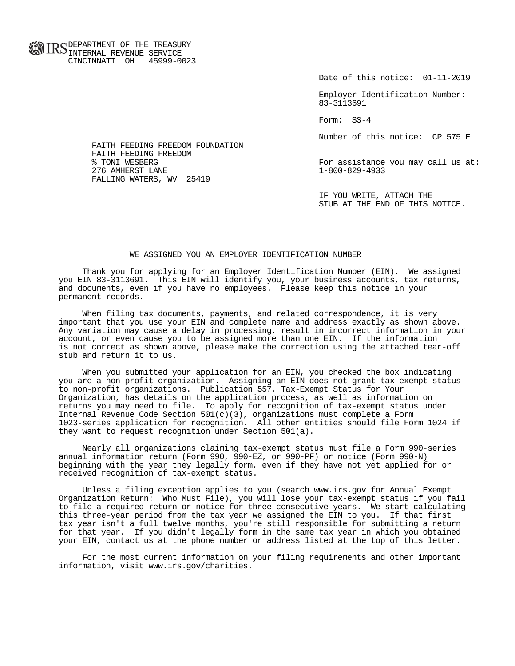**FOR ID C** DEPARTMENT OF THE TREASURY **WWW IIND** INTERNAL REVENUE SERVICE CINCINNATI OH 45999-0023

Date of this notice: 01-11-2019

 Employer Identification Number: 83-3113691

Form: SS-4

Number of this notice: CP 575 E

For assistance you may call us at:<br>1-800-829-4933

 IF YOU WRITE, ATTACH THE STUB AT THE END OF THIS NOTICE.

## WE ASSIGNED YOU AN EMPLOYER IDENTIFICATION NUMBER

 Thank you for applying for an Employer Identification Number (EIN). We assigned you EIN 83-3113691. This EIN will identify you, your business accounts, tax returns, and documents, even if you have no employees. Please keep this notice in your permanent records.

 When filing tax documents, payments, and related correspondence, it is very important that you use your EIN and complete name and address exactly as shown above. Any variation may cause a delay in processing, result in incorrect information in your account, or even cause you to be assigned more than one EIN. If the information is not correct as shown above, please make the correction using the attached tear-off stub and return it to us.

 When you submitted your application for an EIN, you checked the box indicating you are a non-profit organization. Assigning an EIN does not grant tax-exempt status to non-profit organizations. Publication 557, Tax-Exempt Status for Your Organization, has details on the application process, as well as information on returns you may need to file. To apply for recognition of tax-exempt status under Internal Revenue Code Section  $501(c)(3)$ , organizations must complete a Form 1023-series application for recognition. All other entities should file Form 1024 if they want to request recognition under Section 501(a).

 Nearly all organizations claiming tax-exempt status must file a Form 990-series annual information return (Form 990, 990-EZ, or 990-PF) or notice (Form 990-N) beginning with the year they legally form, even if they have not yet applied for or received recognition of tax-exempt status.

 Unless a filing exception applies to you (search www.irs.gov for Annual Exempt Organization Return: Who Must File), you will lose your tax-exempt status if you fail to file a required return or notice for three consecutive years. We start calculating this three-year period from the tax year we assigned the EIN to you. If that first tax year isn't a full twelve months, you're still responsible for submitting a return for that year. If you didn't legally form in the same tax year in which you obtained your EIN, contact us at the phone number or address listed at the top of this letter.

 For the most current information on your filing requirements and other important information, visit www.irs.gov/charities.

 FAITH FEEDING FREEDOM FOUNDATION FAITH FEEDING FREEDOM<br>% TONI WESBERG 276 AMHERST LANE FALLING WATERS, WV 25419